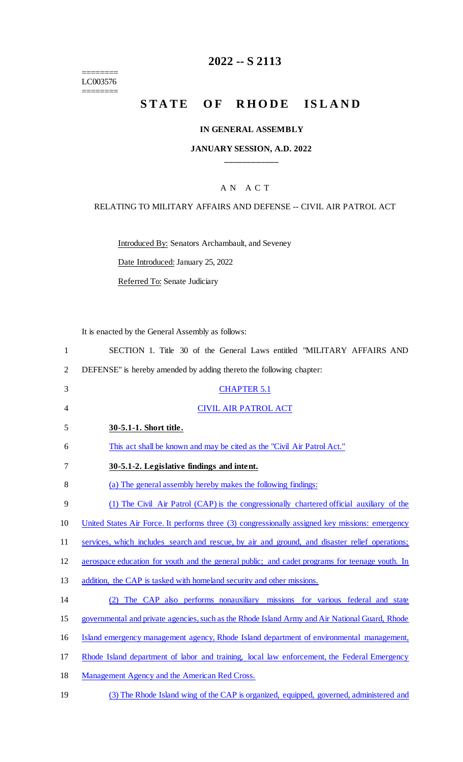======== LC003576

 $=$ 

# **2022 -- S 2113**

# **STATE OF RHODE ISLAND**

## **IN GENERAL ASSEMBLY**

## **JANUARY SESSION, A.D. 2022 \_\_\_\_\_\_\_\_\_\_\_\_**

## A N A C T

### RELATING TO MILITARY AFFAIRS AND DEFENSE -- CIVIL AIR PATROL ACT

Introduced By: Senators Archambault, and Seveney

Date Introduced: January 25, 2022

Referred To: Senate Judiciary

It is enacted by the General Assembly as follows:

| $\mathbf{1}$   | SECTION 1. Title 30 of the General Laws entitled "MILITARY AFFAIRS AND                          |
|----------------|-------------------------------------------------------------------------------------------------|
| $\overline{2}$ | DEFENSE" is hereby amended by adding thereto the following chapter:                             |
| 3              | <b>CHAPTER 5.1</b>                                                                              |
| 4              | <b>CIVIL AIR PATROL ACT</b>                                                                     |
| 5              | 30-5.1-1. Short title.                                                                          |
| 6              | This act shall be known and may be cited as the "Civil Air Patrol Act."                         |
| 7              | 30-5.1-2. Legislative findings and intent.                                                      |
| 8              | (a) The general assembly hereby makes the following findings:                                   |
| 9              | (1) The Civil Air Patrol (CAP) is the congressionally chartered official auxiliary of the       |
| 10             | United States Air Force. It performs three (3) congressionally assigned key missions: emergency |
| 11             | services, which includes search and rescue, by air and ground, and disaster relief operations;  |
| 12             | aerospace education for youth and the general public; and cadet programs for teenage youth. In  |
| 13             | addition, the CAP is tasked with homeland security and other missions.                          |
| 14             | The CAP also performs nonauxiliary missions for various federal and state                       |
| 15             | governmental and private agencies, such as the Rhode Island Army and Air National Guard, Rhode  |
| 16             | Island emergency management agency, Rhode Island department of environmental management,        |
| 17             | Rhode Island department of labor and training, local law enforcement, the Federal Emergency     |
| 18             | Management Agency and the American Red Cross.                                                   |

19 (3) The Rhode Island wing of the CAP is organized, equipped, governed, administered and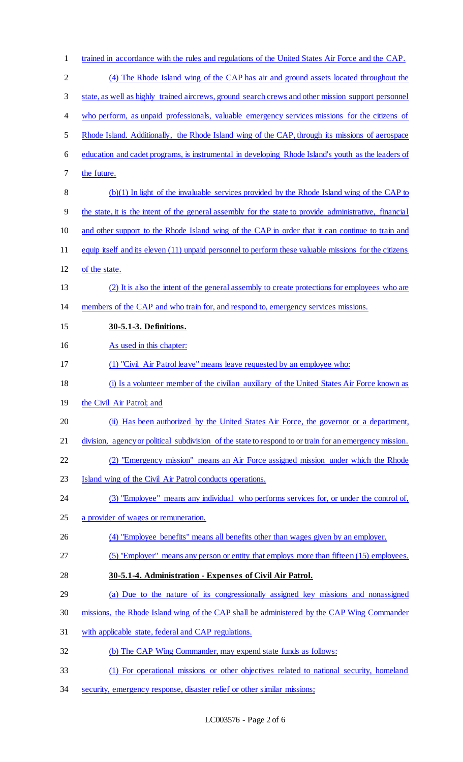| $\mathbf{1}$   | trained in accordance with the rules and regulations of the United States Air Force and the CAP.        |
|----------------|---------------------------------------------------------------------------------------------------------|
| $\overline{2}$ | (4) The Rhode Island wing of the CAP has air and ground assets located throughout the                   |
| 3              | state, as well as highly trained aircrews, ground search crews and other mission support personnel      |
| 4              | who perform, as unpaid professionals, valuable emergency services missions for the citizens of          |
| 5              | Rhode Island. Additionally, the Rhode Island wing of the CAP, through its missions of aerospace         |
| 6              | education and cadet programs, is instrumental in developing Rhode Island's youth as the leaders of      |
| 7              | the future.                                                                                             |
| 8              | (b)(1) In light of the invaluable services provided by the Rhode Island wing of the CAP to              |
| 9              | the state, it is the intent of the general assembly for the state to provide administrative, financial  |
| 10             | and other support to the Rhode Island wing of the CAP in order that it can continue to train and        |
| 11             | equip itself and its eleven (11) unpaid personnel to perform these valuable missions for the citizens   |
| 12             | of the state.                                                                                           |
| 13             | (2) It is also the intent of the general assembly to create protections for employees who are           |
| 14             | members of the CAP and who train for, and respond to, emergency services missions.                      |
| 15             | 30-5.1-3. Definitions.                                                                                  |
| 16             | As used in this chapter:                                                                                |
| 17             | (1) "Civil Air Patrol leave" means leave requested by an employee who:                                  |
| 18             | (i) Is a volunteer member of the civilian auxiliary of the United States Air Force known as             |
| 19             | the Civil Air Patrol; and                                                                               |
| 20             | (ii) Has been authorized by the United States Air Force, the governor or a department,                  |
| 21             | division, agency or political subdivision of the state to respond to or train for an emergency mission. |
| 22             | (2) "Emergency mission" means an Air Force assigned mission under which the Rhode                       |
| 23             | Island wing of the Civil Air Patrol conducts operations.                                                |
| 24             | (3) "Employee" means any individual who performs services for, or under the control of,                 |
| 25             | a provider of wages or remuneration.                                                                    |
| 26             | (4) "Employee benefits" means all benefits other than wages given by an employer.                       |
| 27             | (5) "Employer" means any person or entity that employs more than fifteen (15) employees.                |
| 28             | 30-5.1-4. Administration - Expenses of Civil Air Patrol.                                                |
| 29             | (a) Due to the nature of its congressionally assigned key missions and nonassigned                      |
| 30             | missions, the Rhode Island wing of the CAP shall be administered by the CAP Wing Commander              |
| 31             | with applicable state, federal and CAP regulations.                                                     |
|                |                                                                                                         |
| 32             | (b) The CAP Wing Commander, may expend state funds as follows:                                          |

security, emergency response, disaster relief or other similar missions;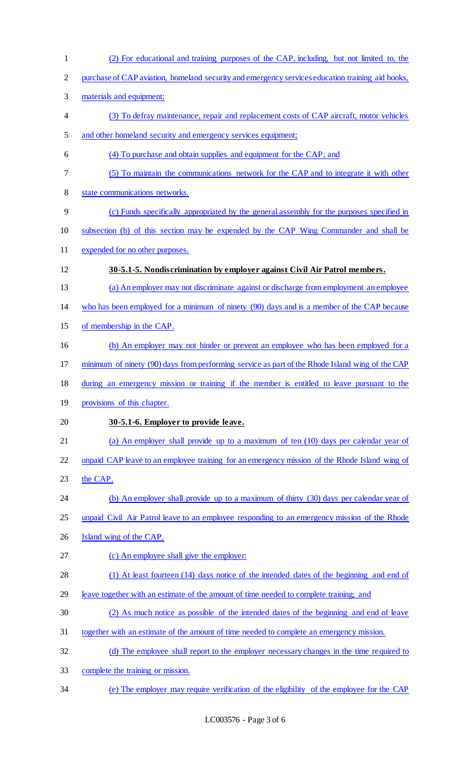(2) For educational and training purposes of the CAP, including, but not limited to, the purchase of CAP aviation, homeland security and emergency services education training aid books, materials and equipment; (3) To defray maintenance, repair and replacement costs of CAP aircraft, motor vehicles and other homeland security and emergency services equipment; (4) To purchase and obtain supplies and equipment for the CAP; and (5) To maintain the communications network for the CAP and to integrate it with other state communications networks. (c) Funds specifically appropriated by the general assembly for the purposes specified in subsection (b) of this section may be expended by the CAP Wing Commander and shall be expended for no other purposes. **30-5.1-5. Nondiscrimination by employer against Civil Air Patrol members.**  13 (a) An employer may not discriminate against or discharge from employment an employee who has been employed for a minimum of ninety (90) days and is a member of the CAP because of membership in the CAP. (b) An employer may not hinder or prevent an employee who has been employed for a minimum of ninety (90) days from performing service as part of the Rhode Island wing of the CAP during an emergency mission or training if the member is entitled to leave pursuant to the 19 provisions of this chapter. **30-5.1-6. Employer to provide leave.**  (a) An employer shall provide up to a maximum of ten (10) days per calendar year of unpaid CAP leave to an employee training for an emergency mission of the Rhode Island wing of 23 the CAP. 24 (b) An employer shall provide up to a maximum of thirty (30) days per calendar year of 25 unpaid Civil Air Patrol leave to an employee responding to an emergency mission of the Rhode Island wing of the CAP. (c) An employee shall give the employer: (1) At least fourteen (14) days notice of the intended dates of the beginning and end of leave together with an estimate of the amount of time needed to complete training; and (2) As much notice as possible of the intended dates of the beginning and end of leave together with an estimate of the amount of time needed to complete an emergency mission. (d) The employee shall report to the employer necessary changes in the time required to complete the training or mission. (e) The employer may require verification of the eligibility of the employee for the CAP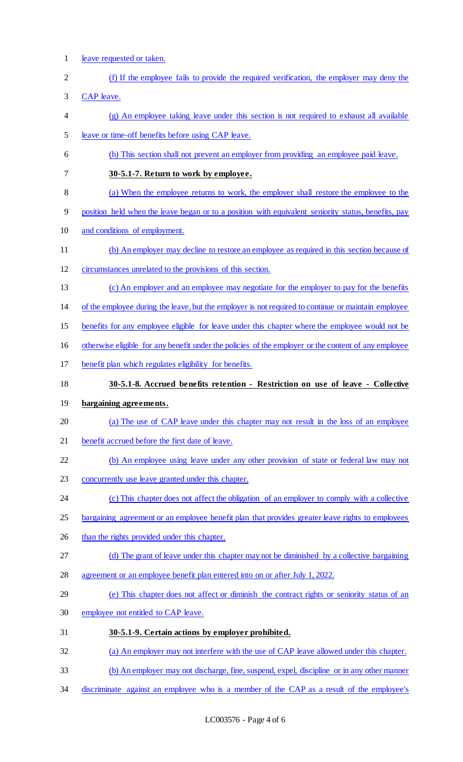- leave requested or taken.
- (f) If the employee fails to provide the required verification, the employer may deny the
- CAP leave.
- (g) An employee taking leave under this section is not required to exhaust all available leave or time-off benefits before using CAP leave.
- (h) This section shall not prevent an employer from providing an employee paid leave.
- **30-5.1-7. Return to work by employee.**
- (a) When the employee returns to work, the employer shall restore the employee to the
- position held when the leave began or to a position with equivalent seniority status, benefits, pay
- and conditions of employment.
- (b) An employer may decline to restore an employee as required in this section because of
- circumstances unrelated to the provisions of this section.
- (c) An employer and an employee may negotiate for the employer to pay for the benefits
- of the employee during the leave, but the employer is not required to continue or maintain employee
- benefits for any employee eligible for leave under this chapter where the employee would not be
- otherwise eligible for any benefit under the policies of the employer or the content of any employee
- benefit plan which regulates eligibility for benefits.
- **30-5.1-8. Accrued benefits retention - Restriction on use of leave - Collective**
- **bargaining agreements.**
- (a) The use of CAP leave under this chapter may not result in the loss of an employee
- benefit accrued before the first date of leave.
- (b) An employee using leave under any other provision of state or federal law may not
- concurrently use leave granted under this chapter.
- 24 (c) This chapter does not affect the obligation of an employer to comply with a collective
- 25 bargaining agreement or an employee benefit plan that provides greater leave rights to employees
- 26 than the rights provided under this chapter.
- (d) The grant of leave under this chapter may not be diminished by a collective bargaining
- agreement or an employee benefit plan entered into on or after July 1, 2022.
- (e) This chapter does not affect or diminish the contract rights or seniority status of an
- employee not entitled to CAP leave.
- **30-5.1-9. Certain actions by employer prohibited.**
- (a) An employer may not interfere with the use of CAP leave allowed under this chapter.
- (b) An employer may not discharge, fine, suspend, expel, discipline or in any other manner
- discriminate against an employee who is a member of the CAP as a result of the employee's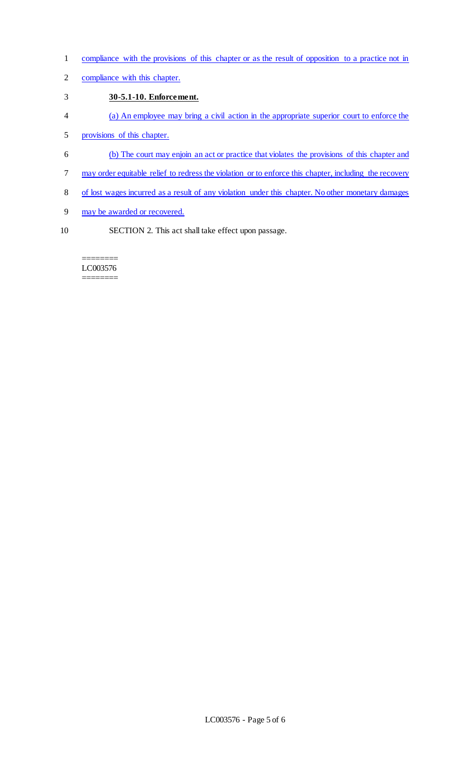- compliance with the provisions of this chapter or as the result of opposition to a practice not in
- compliance with this chapter.

## **30-5.1-10. Enforcement.**

- (a) An employee may bring a civil action in the appropriate superior court to enforce the
- provisions of this chapter.
- (b) The court may enjoin an act or practice that violates the provisions of this chapter and
- 7 may order equitable relief to redress the violation or to enforce this chapter, including the recovery
- of lost wages incurred as a result of any violation under this chapter. No other monetary damages
- may be awarded or recovered.
- SECTION 2. This act shall take effect upon passage.

#### ======== LC003576 ========